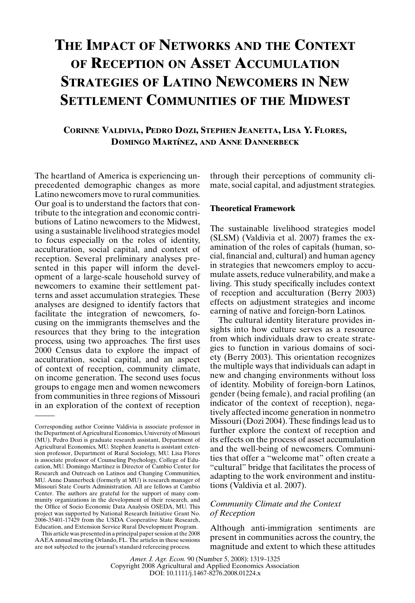# **THE IMPACT OF NETWORKS AND THE CONTEXT OF RECEPTION ON ASSET ACCUMULATION STRATEGIES OF LATINO NEWCOMERS IN NEW SETTLEMENT COMMUNITIES OF THE MIDWEST**

## **CORINNE VALDIVIA, PEDRO DOZI, STEPHEN JEANETTA, LISA Y. FLORES, DOMINGO MART´ıNEZ, AND ANNE DANNERBECK**

The heartland of America is experiencing unprecedented demographic changes as more Latino newcomers move to rural communities. Our goal is to understand the factors that contribute to the integration and economic contributions of Latino newcomers to the Midwest, using a sustainable livelihood strategies model to focus especially on the roles of identity, acculturation, social capital, and context of reception. Several preliminary analyses presented in this paper will inform the development of a large-scale household survey of newcomers to examine their settlement patterns and asset accumulation strategies. These analyses are designed to identify factors that facilitate the integration of newcomers, focusing on the immigrants themselves and the resources that they bring to the integration process, using two approaches. The first uses 2000 Census data to explore the impact of acculturation, social capital, and an aspect of context of reception, community climate, on income generation. The second uses focus groups to engage men and women newcomers from communities in three regions of Missouri in an exploration of the context of reception

This article was presented in a principal paper session at the 2008 AAEA annual meeting Orlando, FL. The articles in these sessions are not subjected to the journal's standard refereeing process.

through their perceptions of community climate, social capital, and adjustment strategies.

## **Theoretical Framework**

The sustainable livelihood strategies model (SLSM) (Valdivia et al. 2007) frames the examination of the roles of capitals (human, social, financial and, cultural) and human agency in strategies that newcomers employ to accumulate assets, reduce vulnerability, and make a living. This study specifically includes context of reception and acculturation (Berry 2003) effects on adjustment strategies and income earning of native and foreign-born Latinos.

The cultural identity literature provides insights into how culture serves as a resource from which individuals draw to create strategies to function in various domains of society (Berry 2003). This orientation recognizes the multiple ways that individuals can adapt in new and changing environments without loss of identity. Mobility of foreign-born Latinos, gender (being female), and racial profiling (an indicator of the context of reception), negatively affected income generation in nonmetro Missouri (Dozi 2004). These findings lead us to further explore the context of reception and its effects on the process of asset accumulation and the well-being of newcomers. Communities that offer a "welcome mat" often create a "cultural" bridge that facilitates the process of adapting to the work environment and institutions (Valdivia et al. 2007).

## *Community Climate and the Context of Reception*

Although anti-immigration sentiments are present in communities across the country, the magnitude and extent to which these attitudes

Corresponding author Corinne Valdivia is associate professor in the Department of Agricultural Economics, University of Missouri (MU). Pedro Dozi is graduate research assistant, Department of Agricultural Economics, MU. Stephen Jeanetta is assistant extension professor, Department of Rural Sociology, MU. Lisa Flores is associate professor of Counseling Psychology, College of Education, MU. Domingo Martínez is Director of Cambio Center for Research and Outreach on Latinos and Changing Communities, MU. Anne Dannerbeck (formerly at MU) is research manager of Missouri State Courts Administration. All are fellows at Cambio Center. The authors are grateful for the support of many community organizations in the development of their research, and the Office of Socio Economic Data Analysis OSEDA, MU. This project was supported by National Research Initiative Grant No. 2006-35401-17429 from the USDA Cooperative State Research, Education, and Extension Service Rural Development Program.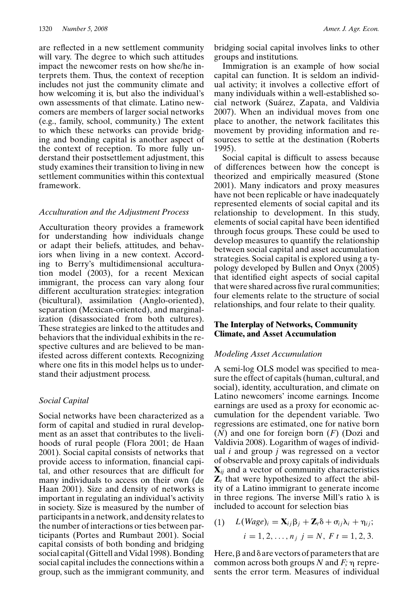are reflected in a new settlement community will vary. The degree to which such attitudes impact the newcomer rests on how she/he interprets them. Thus, the context of reception includes not just the community climate and how welcoming it is, but also the individual's own assessments of that climate. Latino newcomers are members of larger social networks (e.g., family, school, community.) The extent to which these networks can provide bridging and bonding capital is another aspect of the context of reception. To more fully understand their postsettlement adjustment, this study examines their transition to living in new settlement communities within this contextual framework.

#### *Acculturation and the Adjustment Process*

Acculturation theory provides a framework for understanding how individuals change or adapt their beliefs, attitudes, and behaviors when living in a new context. According to Berry's multidimensional acculturation model (2003), for a recent Mexican immigrant, the process can vary along four different acculturation strategies: integration (bicultural), assimilation (Anglo-oriented), separation (Mexican-oriented), and marginalization (disassociated from both cultures). These strategies are linked to the attitudes and behaviors that the individual exhibits in the respective cultures and are believed to be manifested across different contexts. Recognizing where one fits in this model helps us to understand their adjustment process.

#### *Social Capital*

Social networks have been characterized as a form of capital and studied in rural development as an asset that contributes to the livelihoods of rural people (Flora 2001; de Haan 2001). Social capital consists of networks that provide access to information, financial capital, and other resources that are difficult for many individuals to access on their own (de Haan 2001). Size and density of networks is important in regulating an individual's activity in society. Size is measured by the number of participants in a network, and density relates to the number of interactions or ties between participants (Portes and Rumbaut 2001). Social capital consists of both bonding and bridging social capital (Gittell and Vidal 1998). Bonding social capital includes the connections within a group, such as the immigrant community, and

bridging social capital involves links to other groups and institutions.

Immigration is an example of how social capital can function. It is seldom an individual activity; it involves a collective effort of many individuals within a well-established social network (Suárez, Zapata, and Valdivia 2007). When an individual moves from one place to another, the network facilitates this movement by providing information and resources to settle at the destination (Roberts 1995).

Social capital is difficult to assess because of differences between how the concept is theorized and empirically measured (Stone 2001). Many indicators and proxy measures have not been replicable or have inadequately represented elements of social capital and its relationship to development. In this study, elements of social capital have been identified through focus groups. These could be used to develop measures to quantify the relationship between social capital and asset accumulation strategies. Social capital is explored using a typology developed by Bullen and Onyx (2005) that identified eight aspects of social capital that were shared across five rural communities; four elements relate to the structure of social relationships, and four relate to their quality.

### **The Interplay of Networks, Community Climate, and Asset Accumulation**

#### *Modeling Asset Accumulation*

A semi-log OLS model was specified to measure the effect of capitals (human, cultural, and social), identity, acculturation, and climate on Latino newcomers' income earnings. Income earnings are used as a proxy for economic accumulation for the dependent variable. Two regressions are estimated, one for native born (*N*) and one for foreign born (*F*) (Dozi and Valdivia 2008). Logarithm of wages of individual *i* and group *j* was regressed on a vector of observable and proxy capitals of individuals **X***ij* and a vector of community characteristics  $\mathbf{Z}_t$  that were hypothesized to affect the ability of a Latino immigrant to generate income in three regions. The inverse Mill's ratio  $\lambda$  is included to account for selection bias

(1) 
$$
L(Wage)_i = \mathbf{X}_{ij}\beta_j + \mathbf{Z}_t\delta + \sigma_{ij}\lambda_i + \eta_{ij};
$$
  

$$
i = 1, 2, ..., n_j \ j = N, \ F \ t = 1, 2, 3.
$$

Here,  $\beta$  and  $\delta$  are vectors of parameters that are common across both groups N and  $F$ ;  $\eta$  represents the error term. Measures of individual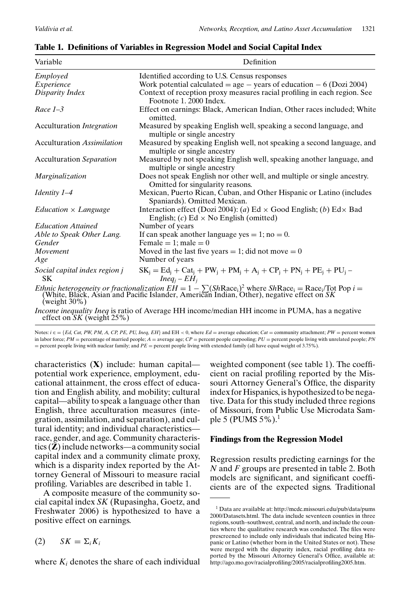| Variable                             | Definition                                                                                                                                                                                                                                              |  |  |  |  |  |  |
|--------------------------------------|---------------------------------------------------------------------------------------------------------------------------------------------------------------------------------------------------------------------------------------------------------|--|--|--|--|--|--|
| Employed                             | Identified according to U.S. Census responses                                                                                                                                                                                                           |  |  |  |  |  |  |
| Experience                           | Work potential calculated = $age - years$ of education $-6$ (Dozi 2004)                                                                                                                                                                                 |  |  |  |  |  |  |
| Disparity Index                      | Context of reception proxy measures racial profiling in each region. See<br>Footnote 1. 2000 Index.                                                                                                                                                     |  |  |  |  |  |  |
| Race $1-3$                           | Effect on earnings: Black, American Indian, Other races included; White<br>omitted.                                                                                                                                                                     |  |  |  |  |  |  |
| Acculturation Integration            | Measured by speaking English well, speaking a second language, and<br>multiple or single ancestry                                                                                                                                                       |  |  |  |  |  |  |
| <b>Acculturation Assimilation</b>    | Measured by speaking English well, not speaking a second language, and<br>multiple or single ancestry                                                                                                                                                   |  |  |  |  |  |  |
| <b>Acculturation Separation</b>      | Measured by not speaking English well, speaking another language, and<br>multiple or single ancestry                                                                                                                                                    |  |  |  |  |  |  |
| Marginalization                      | Does not speak English nor other well, and multiple or single ancestry.<br>Omitted for singularity reasons.                                                                                                                                             |  |  |  |  |  |  |
| <i>Identity 1–4</i>                  | Mexican, Puerto Rican, Cuban, and Other Hispanic or Latino (includes<br>Spaniards). Omitted Mexican.                                                                                                                                                    |  |  |  |  |  |  |
| $Education \times Language$          | Interaction effect (Dozi 2004): (a) Ed $\times$ Good English; (b) Ed $\times$ Bad<br>English; (c) Ed $\times$ No English (omitted)                                                                                                                      |  |  |  |  |  |  |
| <b>Education Attained</b>            | Number of years                                                                                                                                                                                                                                         |  |  |  |  |  |  |
| Able to Speak Other Lang.            | If can speak another language yes = 1; no = 0.                                                                                                                                                                                                          |  |  |  |  |  |  |
| Gender                               | Female = 1; male = $0$                                                                                                                                                                                                                                  |  |  |  |  |  |  |
| Movement                             | Moved in the last five years = 1; did not move = 0                                                                                                                                                                                                      |  |  |  |  |  |  |
| Age                                  | Number of years                                                                                                                                                                                                                                         |  |  |  |  |  |  |
| Social capital index region j<br>SK. | $SK_i = Ed_i + Cat_i + PW_i + PM_i + A_i + CP_i + PN_i + PE_i + PU_i -$<br>$Ineq_i-EH_i$                                                                                                                                                                |  |  |  |  |  |  |
| (weight $30\%$ )                     | <i>Ethnic heterogeneity or fractionalization EH</i> = $1 - \sum (ShRace_i)^2$ where <i>ShRace</i> <sub>i</sub> = Race <sub>i</sub> /Tot Pop <i>i</i> = (White, Black, Asian and Pacific Islander, American Indian, Other), negative effect on <i>SK</i> |  |  |  |  |  |  |
| effect on $SK$ (weight $25\%$ )      | <i>Income inequality Ineq is ratio of Average HH income/median HH income in PUMA, has a negative</i>                                                                                                                                                    |  |  |  |  |  |  |

#### **Table 1. Definitions of Variables in Regression Model and Social Capital Index**

Notes:  $i \in \{Ed, Cat, PW, PM, A, CP, PE, PU, Ineq, EH\}$  and  $EH < 0$ , where  $Ed = \text{average education}$ ;  $Cat = \text{community attachment}$ ;  $PW = \text{percent women}$ in labor force;  $PM$  = percentage of married people;  $A$  = average age;  $CP$  = percent people carpooling;  $PU$  = percent people living with unrelated people; *PN* = percent people living with nuclear family; and *PE* = percent people living with extended family (all have equal weight of 3.75%).

characteristics (**X**) include: human capital potential work experience, employment, educational attainment, the cross effect of education and English ability, and mobility; cultural capital—ability to speak a language other than English, three acculturation measures (integration, assimilation, and separation), and cultural identity; and individual characteristics race, gender, and age. Community characteristics (**Z**) include networks—a community social capital index and a community climate proxy, which is a disparity index reported by the Attorney General of Missouri to measure racial profiling. Variables are described in table 1.

A composite measure of the community social capital index *SK* (Rupasingha, Goetz, and Freshwater 2006) is hypothesized to have a positive effect on earnings.

weighted component (see table 1). The coefficient on racial profiling reported by the Missouri Attorney General's Office, the disparity index for Hispanics, is hypothesized to be negative. Data for this study included three regions of Missouri, from Public Use Microdata Sample 5 (PUMS  $5\%$ ).<sup>1</sup>

#### **Findings from the Regression Model**

Regression results predicting earnings for the *N* and *F* groups are presented in table 2. Both models are significant, and significant coefficients are of the expected signs. Traditional

(2)  $SK = \sum_i K_i$ 

where  $K_i$  denotes the share of each individual

<sup>1</sup> Data are available at: http://mcdc.missouri.edu/pub/data/pums 2000/Datasets.html. The data include seventeen counties in three regions, south–southwest, central, and north, and include the counties where the qualitative research was conducted. The files were prescreened to include only individuals that indicated being Hispanic or Latino (whether born in the United States or not). These were merged with the disparity index, racial profiling data reported by the Missouri Attorney General's Office, available at: http://ago.mo.gov/racialprofiling/2005/racialprofiling2005.htm.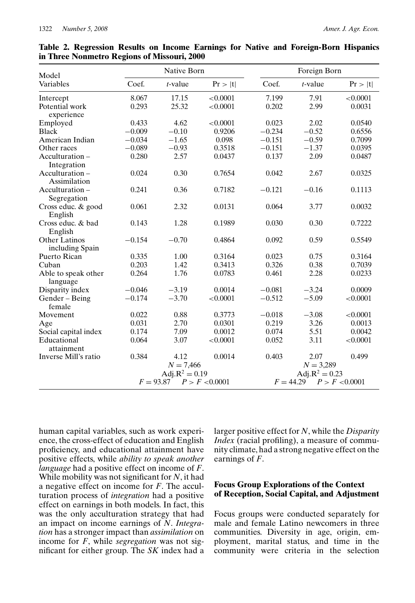| Model                                   |             | Native Born       |                |             | Foreign Born      |                |  |  |
|-----------------------------------------|-------------|-------------------|----------------|-------------|-------------------|----------------|--|--|
| Variables                               | Coef.       | $t$ -value        | Pr >  t        | Coef.       | $t$ -value        | Pr >  t        |  |  |
| Intercept                               | 8.067       | 17.15             | < 0.0001       | 7.199       | 7.91              | < 0.0001       |  |  |
| Potential work                          | 0.293       | 25.32             | < 0.0001       | 0.202       | 2.99              | 0.0031         |  |  |
| experience                              |             |                   |                |             |                   |                |  |  |
| Employed                                | 0.433       | 4.62              | < 0.0001       | 0.023       | 2.02              | 0.0540         |  |  |
| <b>Black</b>                            | $-0.009$    | $-0.10$           | 0.9206         | $-0.234$    | $-0.52$           | 0.6556         |  |  |
| American Indian                         | $-0.034$    | $-1.65$           | 0.098          | $-0.151$    | $-0.59$           | 0.7099         |  |  |
| Other races                             | $-0.089$    | $-0.93$           | 0.3518         | $-0.151$    | $-1.37$           | 0.0395         |  |  |
| $Acculturation -$                       | 0.280       | 2.57              | 0.0437         | 0.137       | 2.09              | 0.0487         |  |  |
| Integration                             |             |                   |                |             |                   |                |  |  |
| Acculturation -<br>Assimilation         | 0.024       | 0.30              | 0.7654         | 0.042       | 2.67              | 0.0325         |  |  |
| $Acculturation -$<br>Segregation        | 0.241       | 0.36              | 0.7182         | $-0.121$    | $-0.16$           | 0.1113         |  |  |
| Cross educ. & good<br>English           | 0.061       | 2.32              | 0.0131         | 0.064       | 3.77              | 0.0032         |  |  |
| Cross educ. & bad<br>English            | 0.143       | 1.28              | 0.1989         | 0.030       | 0.30              | 0.7222         |  |  |
| <b>Other Latinos</b><br>including Spain | $-0.154$    | $-0.70$           | 0.4864         | 0.092       | 0.59              | 0.5549         |  |  |
| Puerto Rican                            | 0.335       | 1.00              | 0.3164         | 0.023       | 0.75              | 0.3164         |  |  |
| Cuban                                   | 0.203       | 1.42              | 0.3413         | 0.326       | 0.38              | 0.7039         |  |  |
| Able to speak other<br>language         | 0.264       | 1.76              | 0.0783         | 0.461       | 2.28              | 0.0233         |  |  |
| Disparity index                         | $-0.046$    | $-3.19$           | 0.0014         | $-0.081$    | $-3.24$           | 0.0009         |  |  |
| Gender – Being<br>female                | $-0.174$    | $-3.70$           | < 0.0001       | $-0.512$    | $-5.09$           | < 0.0001       |  |  |
| Movement                                | 0.022       | 0.88              | 0.3773         | $-0.018$    | $-3.08$           | < 0.0001       |  |  |
| Age                                     | 0.031       | 2.70              | 0.0301         | 0.219       | 3.26              | 0.0013         |  |  |
| Social capital index                    | 0.174       | 7.09              | 0.0012         | 0.074       | 5.51              | 0.0042         |  |  |
| Educational<br>attainment               | 0.064       | 3.07              | < 0.0001       | 0.052       | 3.11              | < 0.0001       |  |  |
| Inverse Mill's ratio                    | 0.384       | 4.12              | 0.0014         | 0.403       | 2.07              | 0.499          |  |  |
|                                         |             | $N = 7,466$       |                |             | $N = 3,289$       |                |  |  |
|                                         |             | Adj. $R^2 = 0.19$ |                |             | Adj. $R^2 = 0.23$ |                |  |  |
|                                         | $F = 93.87$ |                   | P > F < 0.0001 | $F = 44.29$ |                   | P > F < 0.0001 |  |  |

**Table 2. Regression Results on Income Earnings for Native and Foreign-Born Hispanics in Three Nonmetro Regions of Missouri, 2000**

human capital variables, such as work experience, the cross-effect of education and English proficiency, and educational attainment have positive effects, while *ability to speak another language* had a positive effect on income of *F*. While mobility was not significant for *N*, it had a negative effect on income for *F*. The acculturation process of *integration* had a positive effect on earnings in both models. In fact, this was the only acculturation strategy that had an impact on income earnings of *N*. *Integration* has a stronger impact than *assimilation* on income for *F*, while *segregation* was not significant for either group. The *SK* index had a

larger positive effect for *N*, while the *Disparity Index* (racial profiling), a measure of community climate, had a strong negative effect on the earnings of *F*.

## **Focus Group Explorations of the Context of Reception, Social Capital, and Adjustment**

Focus groups were conducted separately for male and female Latino newcomers in three communities. Diversity in age, origin, employment, marital status, and time in the community were criteria in the selection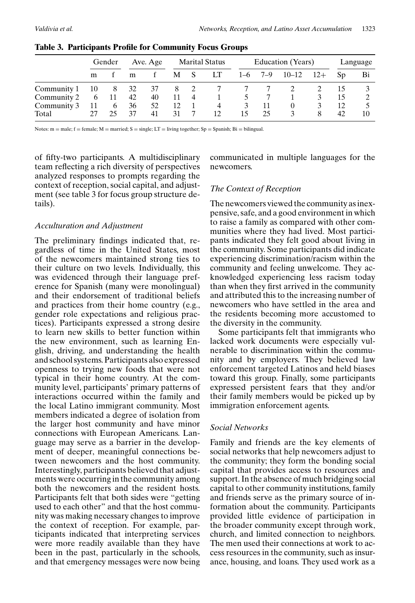|                                         | Gender |      | Ave. Age |        | <b>Marital Status</b> |  | Education (Years) |    |    | Language                  |          |     |    |
|-----------------------------------------|--------|------|----------|--------|-----------------------|--|-------------------|----|----|---------------------------|----------|-----|----|
|                                         | m      |      | m        |        | M S                   |  | LT                |    |    | $1-6$ $7-9$ $10-12$ $12+$ |          | Sp. | Bi |
| Community $1 \quad 10 \quad 8 \quad 32$ |        |      |          | 37 8 2 |                       |  |                   |    |    |                           |          | 15  |    |
| Community 2                             |        | 6 11 | 42       | 40     | 11 4                  |  | $\sim$ 1 $\sim$   |    |    |                           | $\Delta$ | 15  |    |
| Community 3                             | 11     |      | 6 36     | 52     | 12 1                  |  | 4                 | 3  |    | $\theta$                  |          | 12  |    |
| Total                                   |        | 25   | 37       | 41     | 31                    |  | 12                | 15 | 25 | 3                         | 8        | 42  | 10 |

#### **Table 3. Participants Profile for Community Focus Groups**

Notes:  $m = male$ ;  $f = female$ ;  $M = married$ ;  $S = single$ ;  $LT = living together$ ;  $Sp = Spanish$ ;  $Bi = bilingual$ .

of fifty-two participants. A multidisciplinary team reflecting a rich diversity of perspectives analyzed responses to prompts regarding the context of reception, social capital, and adjustment (see table 3 for focus group structure details).

## *Acculturation and Adjustment*

The preliminary findings indicated that, regardless of time in the United States, most of the newcomers maintained strong ties to their culture on two levels. Individually, this was evidenced through their language preference for Spanish (many were monolingual) and their endorsement of traditional beliefs and practices from their home country (e.g., gender role expectations and religious practices). Participants expressed a strong desire to learn new skills to better function within the new environment, such as learning English, driving, and understanding the health and school systems. Participants also expressed openness to trying new foods that were not typical in their home country. At the community level, participants' primary patterns of interactions occurred within the family and the local Latino immigrant community. Most members indicated a degree of isolation from the larger host community and have minor connections with European Americans. Language may serve as a barrier in the development of deeper, meaningful connections between newcomers and the host community. Interestingly, participants believed that adjustments were occurring in the community among both the newcomers and the resident hosts. Participants felt that both sides were "getting used to each other" and that the host community was making necessary changes to improve the context of reception. For example, participants indicated that interpreting services were more readily available than they have been in the past, particularly in the schools, and that emergency messages were now being communicated in multiple languages for the newcomers.

## *The Context of Reception*

The newcomers viewed the community as inexpensive, safe, and a good environment in which to raise a family as compared with other communities where they had lived. Most participants indicated they felt good about living in the community. Some participants did indicate experiencing discrimination/racism within the community and feeling unwelcome. They acknowledged experiencing less racism today than when they first arrived in the community and attributed this to the increasing number of newcomers who have settled in the area and the residents becoming more accustomed to the diversity in the community.

Some participants felt that immigrants who lacked work documents were especially vulnerable to discrimination within the community and by employers. They believed law enforcement targeted Latinos and held biases toward this group. Finally, some participants expressed persistent fears that they and/or their family members would be picked up by immigration enforcement agents.

## *Social Networks*

Family and friends are the key elements of social networks that help newcomers adjust to the community; they form the bonding social capital that provides access to resources and support. In the absence of much bridging social capital to other community institutions, family and friends serve as the primary source of information about the community. Participants provided little evidence of participation in the broader community except through work, church, and limited connection to neighbors. The men used their connections at work to access resources in the community, such as insurance, housing, and loans. They used work as a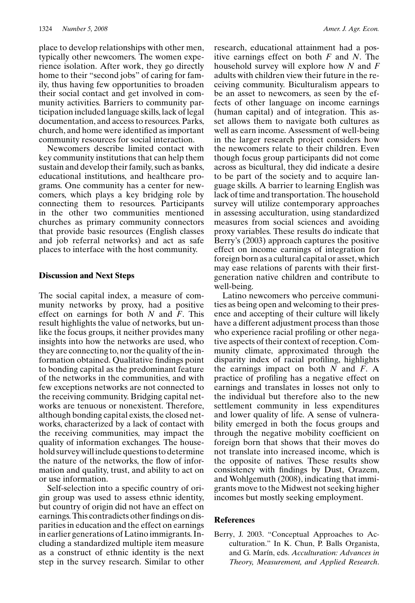place to develop relationships with other men, typically other newcomers. The women experience isolation. After work, they go directly home to their "second jobs" of caring for family, thus having few opportunities to broaden their social contact and get involved in community activities. Barriers to community participation included language skills, lack of legal documentation, and access to resources. Parks, church, and home were identified as important community resources for social interaction.

Newcomers describe limited contact with key community institutions that can help them sustain and develop their family, such as banks, educational institutions, and healthcare programs. One community has a center for newcomers, which plays a key bridging role by connecting them to resources. Participants in the other two communities mentioned churches as primary community connectors that provide basic resources (English classes and job referral networks) and act as safe places to interface with the host community.

#### **Discussion and Next Steps**

The social capital index, a measure of community networks by proxy, had a positive effect on earnings for both *N* and *F*. This result highlights the value of networks, but unlike the focus groups, it neither provides many insights into how the networks are used, who they are connecting to, nor the quality of the information obtained. Qualitative findings point to bonding capital as the predominant feature of the networks in the communities, and with few exceptions networks are not connected to the receiving community. Bridging capital networks are tenuous or nonexistent. Therefore, although bonding capital exists, the closed networks, characterized by a lack of contact with the receiving communities, may impact the quality of information exchanges. The household survey will include questions to determine the nature of the networks, the flow of information and quality, trust, and ability to act on or use information.

Self-selection into a specific country of origin group was used to assess ethnic identity, but country of origin did not have an effect on earnings. This contradicts other findings on disparities in education and the effect on earnings in earlier generations of Latino immigrants. Including a standardized multiple item measure as a construct of ethnic identity is the next step in the survey research. Similar to other research, educational attainment had a positive earnings effect on both *F* and *N*. The household survey will explore how *N* and *F* adults with children view their future in the receiving community. Biculturalism appears to be an asset to newcomers, as seen by the effects of other language on income earnings (human capital) and of integration. This asset allows them to navigate both cultures as well as earn income. Assessment of well-being in the larger research project considers how the newcomers relate to their children. Even though focus group participants did not come across as bicultural, they did indicate a desire to be part of the society and to acquire language skills. A barrier to learning English was lack of time and transportation. The household survey will utilize contemporary approaches in assessing acculturation, using standardized measures from social sciences and avoiding proxy variables. These results do indicate that Berry's (2003) approach captures the positive effect on income earnings of integration for foreign born as a cultural capital or asset, which may ease relations of parents with their firstgeneration native children and contribute to well-being.

Latino newcomers who perceive communities as being open and welcoming to their presence and accepting of their culture will likely have a different adjustment process than those who experience racial profiling or other negative aspects of their context of reception. Community climate, approximated through the disparity index of racial profiling, highlights the earnings impact on both *N* and *F*. A practice of profiling has a negative effect on earnings and translates in losses not only to the individual but therefore also to the new settlement community in less expenditures and lower quality of life. A sense of vulnerability emerged in both the focus groups and through the negative mobility coefficient on foreign born that shows that their moves do not translate into increased income, which is the opposite of natives. These results show consistency with findings by Dust, Orazem, and Wohlgemuth (2008), indicating that immigrants move to the Midwest not seeking higher incomes but mostly seeking employment.

#### **References**

Berry, J. 2003. "Conceptual Approaches to Acculturation." In K. Chun, P. Balls Organista, and G. Marín, eds. *Acculturation: Advances in Theory, Measurement, and Applied Research*.